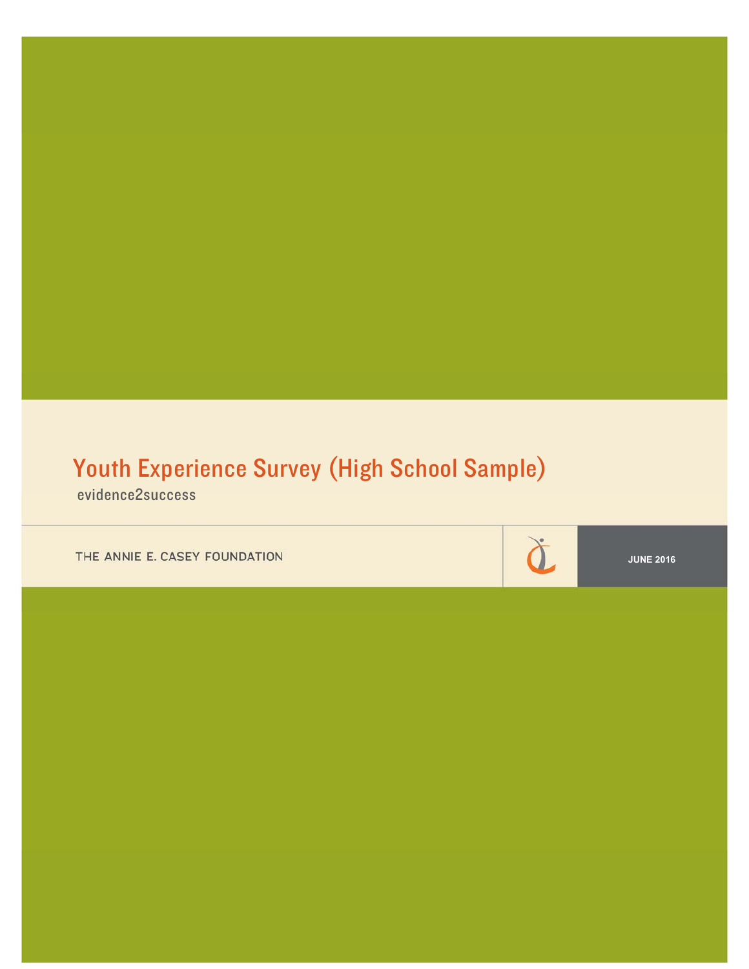# Youth Experience Survey (High School Sample)

evidence2success

THE ANNIE E. CASEY FOUNDATION

**JUNE 2016** 

à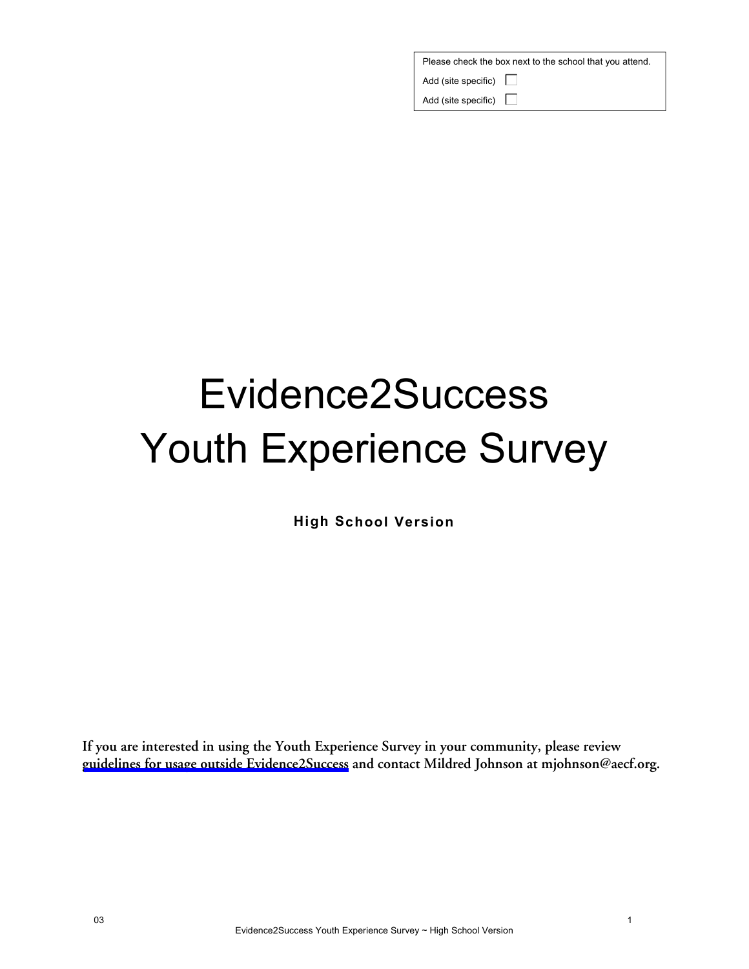| Please check the box next to the school that you attend. |  |  |  |  |  |
|----------------------------------------------------------|--|--|--|--|--|
| Add (site specific) $\square$                            |  |  |  |  |  |
| Add (site specific) $\square$                            |  |  |  |  |  |

# Evidence2Success Youth Experience Survey

**High School Version** 

**If you are interested in using the Youth Experience Survey in your community, please review [guidelines for usage outside Evidence2Success](http://www.aecf.org/m/blogdoc/aecf-yesoutsidee2s-2016.pdf) and contact Mildred Johnson at mjohnson@aecf.org.**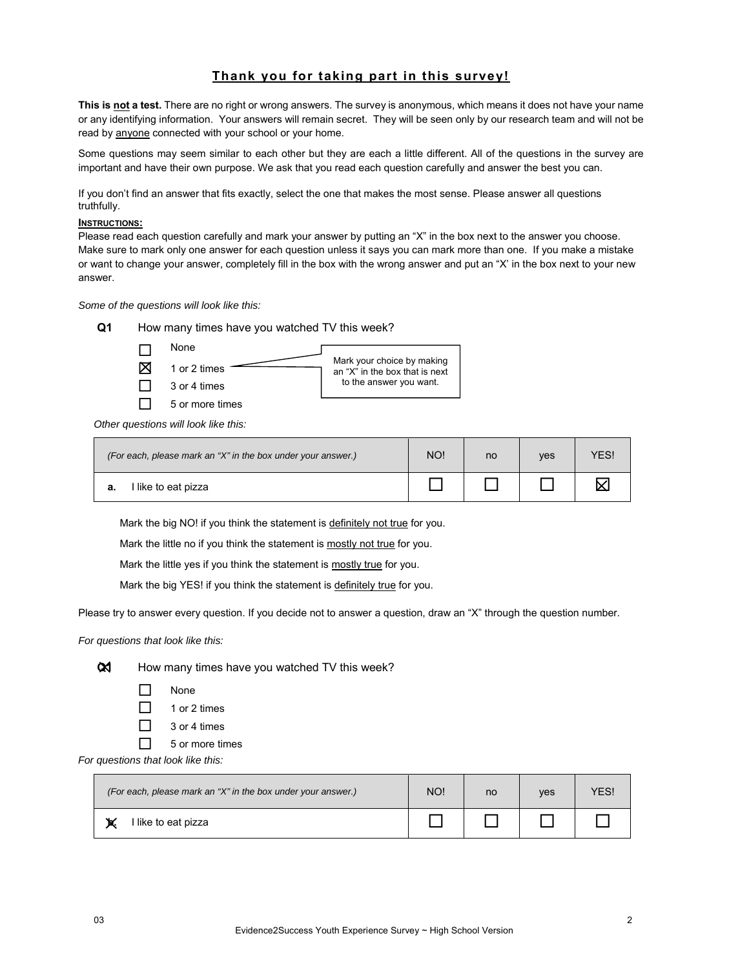# **Thank you for taking part in this survey!**

**This is not a test.** There are no right or wrong answers. The survey is anonymous, which means it does not have your name or any identifying information. Your answers will remain secret. They will be seen only by our research team and will not be read by anyone connected with your school or your home.

Some questions may seem similar to each other but they are each a little different. All of the questions in the survey are important and have their own purpose. We ask that you read each question carefully and answer the best you can.

If you don't find an answer that fits exactly, select the one that makes the most sense. Please answer all questions truthfully.

#### **INSTRUCTIONS:**

Please read each question carefully and mark your answer by putting an "X" in the box next to the answer you choose. Make sure to mark only one answer for each question unless it says you can mark more than one. If you make a mistake or want to change your answer, completely fill in the box with the wrong answer and put an "X' in the box next to your new answer.

*Some of the questions will look like this:* 

| O1 | How many times have you watched TV this week? |                                                              |
|----|-----------------------------------------------|--------------------------------------------------------------|
|    | <b>None</b>                                   |                                                              |
|    | 1 or 2 times                                  | Mark your choice by making<br>an "X" in the box that is next |
|    | 2 or 4 time                                   | to the answer you want.                                      |

*Other questions will look like this:* 

 $\Box$  3 or 4 times  $\Box$  5 or more times

| (For each, please mark an "X" in the box under your answer.) | NO! | <sub>no</sub> | <b>ves</b> | <b>ES!</b> |
|--------------------------------------------------------------|-----|---------------|------------|------------|
| l like to eat pizza                                          |     |               |            |            |

Mark the big NO! if you think the statement is definitely not true for you.

Mark the little no if you think the statement is mostly not true for you.

Mark the little yes if you think the statement is mostly true for you.

Mark the big YES! if you think the statement is definitely true for you.

Please try to answer every question. If you decide not to answer a question, draw an "X" through the question number.

*For questions that look like this:* 



 $Q$ **1** How many times have you watched TV this week?

- $\Box$  None
- $\Box$  1 or 2 times
- $\Box$  3 or 4 times
- $\Box$  5 or more times

*For questions that look like this:* 

| (For each, please mark an "X" in the box under your answer.) |  | no | <b>ves</b> | ΈS |
|--------------------------------------------------------------|--|----|------------|----|
| l like to eat pizza                                          |  |    |            |    |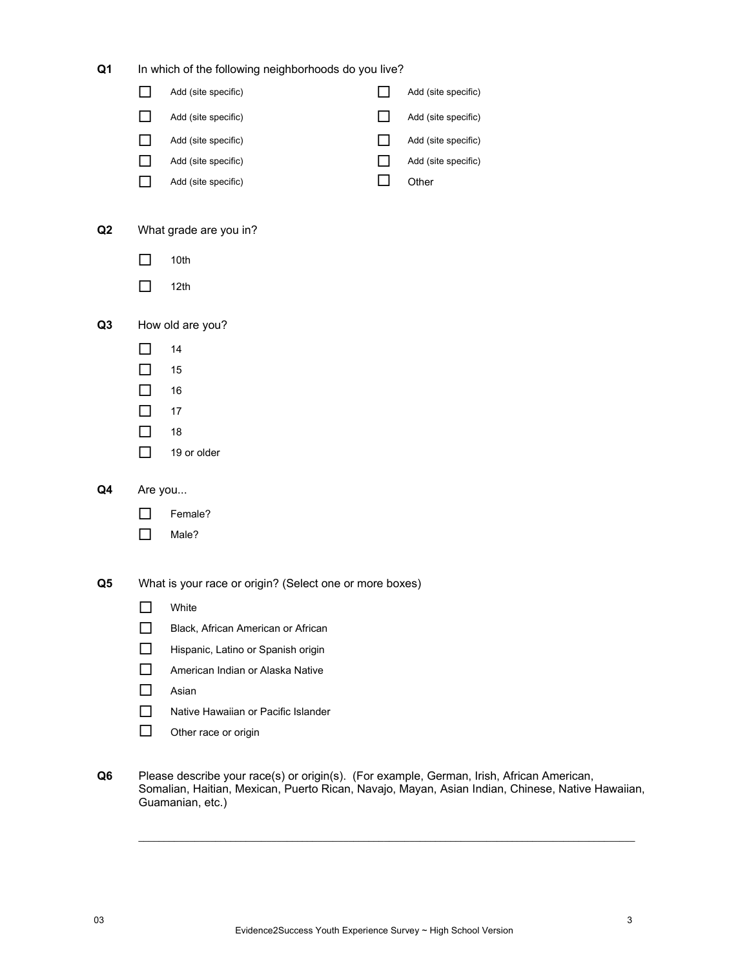| Q <sub>1</sub> |                | In which of the following neighborhoods do you live?    |     |                     |
|----------------|----------------|---------------------------------------------------------|-----|---------------------|
|                |                | Add (site specific)                                     |     | Add (site specific) |
|                | $\mathbf{I}$   | Add (site specific)                                     |     | Add (site specific) |
|                | - 1            | Add (site specific)                                     | - 1 | Add (site specific) |
|                | $\blacksquare$ | Add (site specific)                                     |     | Add (site specific) |
|                |                | Add (site specific)                                     |     | Other               |
| Q2             |                | What grade are you in?                                  |     |                     |
|                | - 1            | 10th                                                    |     |                     |
|                |                | 12th                                                    |     |                     |
| Q <sub>3</sub> |                | How old are you?                                        |     |                     |
|                |                | 14                                                      |     |                     |
|                |                | 15                                                      |     |                     |
|                | $\Box$         | 16                                                      |     |                     |
|                | ┓              | 17                                                      |     |                     |
|                | ┓              | 18                                                      |     |                     |
|                |                | 19 or older                                             |     |                     |
| Q4             | Are you        |                                                         |     |                     |
|                |                | Female?                                                 |     |                     |
|                |                | Male?                                                   |     |                     |
| Q5             |                | What is your race or origin? (Select one or more boxes) |     |                     |
|                |                | White                                                   |     |                     |
|                |                | Black, African American or African                      |     |                     |
|                | ר              | Hispanic, Latino or Spanish origin                      |     |                     |
|                | П              | American Indian or Alaska Native                        |     |                     |
|                | П              | Asian                                                   |     |                     |
|                | $\mathsf{L}$   | Native Hawaiian or Pacific Islander                     |     |                     |
|                |                | Other race or origin                                    |     |                     |
|                |                |                                                         |     |                     |

**Q6** Please describe your race(s) or origin(s). (For example, German, Irish, African American, Somalian, Haitian, Mexican, Puerto Rican, Navajo, Mayan, Asian Indian, Chinese, Native Hawaiian, Guamanian, etc.)

 $\mathcal{L}_\mathcal{L} = \mathcal{L}_\mathcal{L} = \mathcal{L}_\mathcal{L} = \mathcal{L}_\mathcal{L} = \mathcal{L}_\mathcal{L} = \mathcal{L}_\mathcal{L} = \mathcal{L}_\mathcal{L} = \mathcal{L}_\mathcal{L} = \mathcal{L}_\mathcal{L} = \mathcal{L}_\mathcal{L} = \mathcal{L}_\mathcal{L} = \mathcal{L}_\mathcal{L} = \mathcal{L}_\mathcal{L} = \mathcal{L}_\mathcal{L} = \mathcal{L}_\mathcal{L} = \mathcal{L}_\mathcal{L} = \mathcal{L}_\mathcal{L}$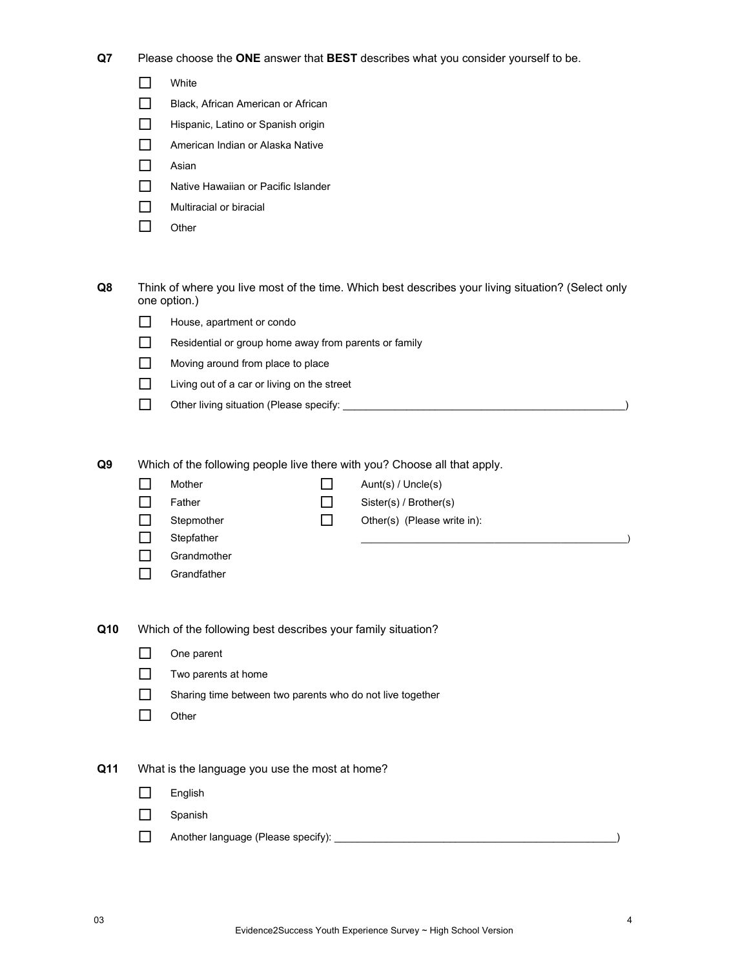**Q7** Please choose the **ONE** answer that **BEST** describes what you consider yourself to be.

|     |                                                           | White                                                                                                                                                                                                                                  |
|-----|-----------------------------------------------------------|----------------------------------------------------------------------------------------------------------------------------------------------------------------------------------------------------------------------------------------|
|     |                                                           | Black, African American or African                                                                                                                                                                                                     |
|     | $\blacksquare$                                            | Hispanic, Latino or Spanish origin                                                                                                                                                                                                     |
|     | П                                                         | American Indian or Alaska Native                                                                                                                                                                                                       |
|     | П                                                         | Asian                                                                                                                                                                                                                                  |
|     | П                                                         | Native Hawaiian or Pacific Islander                                                                                                                                                                                                    |
|     | $\mathsf{L}$                                              | Multiracial or biracial                                                                                                                                                                                                                |
|     | l.                                                        | Other                                                                                                                                                                                                                                  |
| Q8  |                                                           | Think of where you live most of the time. Which best describes your living situation? (Select only<br>one option.)                                                                                                                     |
|     | ΙI                                                        | House, apartment or condo                                                                                                                                                                                                              |
|     | $\Box$                                                    | Residential or group home away from parents or family                                                                                                                                                                                  |
|     | LΙ                                                        | Moving around from place to place                                                                                                                                                                                                      |
|     | $\mathsf{L}$                                              | Living out of a car or living on the street                                                                                                                                                                                            |
|     | П                                                         |                                                                                                                                                                                                                                        |
| Q9  | ΙI<br>H<br>$\blacksquare$<br>$\Box$<br>$\mathsf{L}$<br>ΙI | Which of the following people live there with you? Choose all that apply.<br>Mother<br>Aunt(s) / Uncle(s)<br>Father<br>Sister(s) / Brother(s)<br>Stepmother<br>Other(s) (Please write in):<br>Stepfather<br>Grandmother<br>Grandfather |
| Q10 |                                                           | Which of the following best describes your family situation?                                                                                                                                                                           |
|     | П                                                         | One parent                                                                                                                                                                                                                             |
|     | $\Box$                                                    | Two parents at home                                                                                                                                                                                                                    |
|     | П                                                         | Sharing time between two parents who do not live together                                                                                                                                                                              |
|     | $\Box$                                                    | Other                                                                                                                                                                                                                                  |
| Q11 |                                                           | What is the language you use the most at home?                                                                                                                                                                                         |
|     | $\mathsf{L}$                                              | English                                                                                                                                                                                                                                |
|     | $\blacksquare$                                            | Spanish                                                                                                                                                                                                                                |
|     | ΙI                                                        |                                                                                                                                                                                                                                        |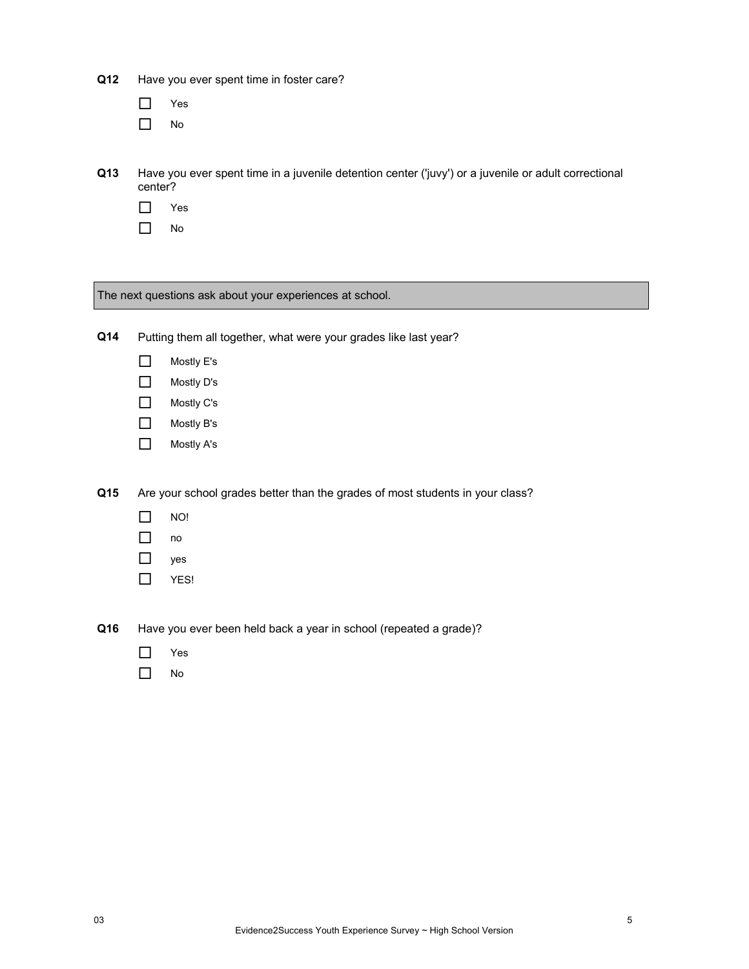| Q12 |              | Have you ever spent time in foster care?                                                             |
|-----|--------------|------------------------------------------------------------------------------------------------------|
|     |              | Yes                                                                                                  |
|     |              | No                                                                                                   |
|     |              |                                                                                                      |
| Q13 | center?      | Have you ever spent time in a juvenile detention center ('juvy') or a juvenile or adult correctional |
|     |              | Yes                                                                                                  |
|     |              | No                                                                                                   |
|     |              |                                                                                                      |
|     |              |                                                                                                      |
|     |              | The next questions ask about your experiences at school.                                             |
|     |              |                                                                                                      |
| Q14 |              | Putting them all together, what were your grades like last year?                                     |
|     | П            | Mostly E's                                                                                           |
|     | $\mathsf{L}$ | Mostly D's                                                                                           |
|     | П            | Mostly C's                                                                                           |
|     | П            | Mostly B's                                                                                           |
|     | $\Box$       | Mostly A's                                                                                           |
|     |              |                                                                                                      |
| Q15 |              | Are your school grades better than the grades of most students in your class?                        |

- $\Box$  NO!
- $\Box$  no

# □ yes

 $\Box$  YES!

**Q16** Have you ever been held back a year in school (repeated a grade)?

- □ Yes
- $\Box$  No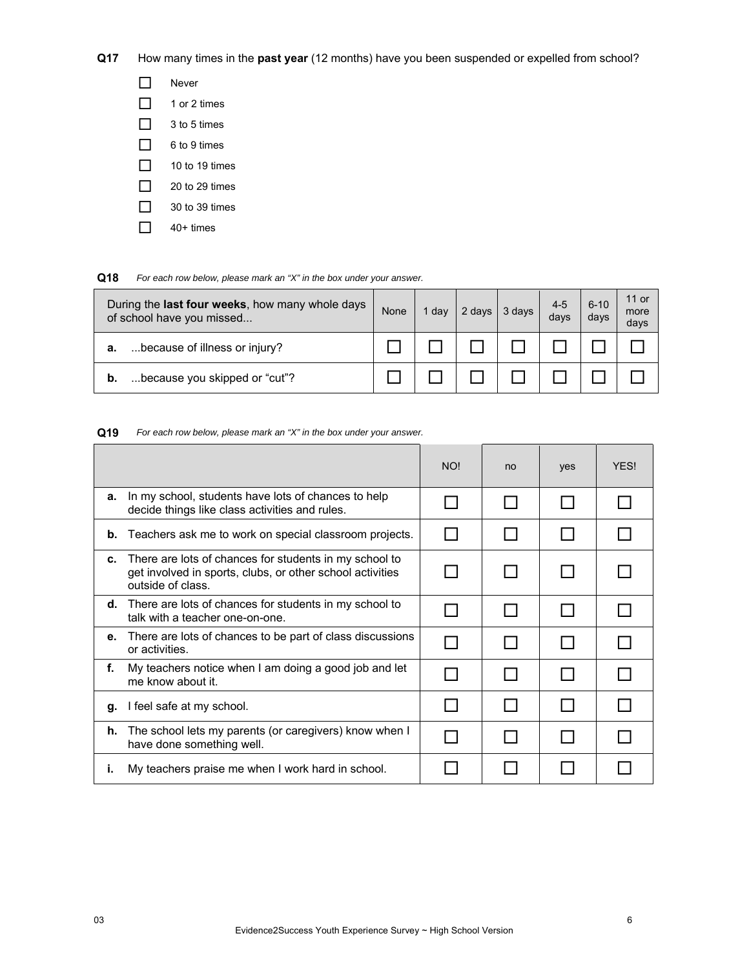**Q17** How many times in the **past year** (12 months) have you been suspended or expelled from school?

| Never          |
|----------------|
| 1 or 2 times   |
| 3 to 5 times   |
| 6 to 9 times   |
| 10 to 19 times |
| 20 to 29 times |
| 30 to 39 times |
| $40+$ times    |
|                |

#### **Q18** *For each row below, please mark an "X" in the box under your answer.*

| During the <b>last four weeks</b> , how many whole days<br>of school have you missed | None | , day | 2 days | 3 days | $4 - 5$<br>days | $6 - 10$<br>days | 11 or<br>more<br>days |
|--------------------------------------------------------------------------------------|------|-------|--------|--------|-----------------|------------------|-----------------------|
| because of illness or injury?<br>а.                                                  |      |       |        |        |                 |                  |                       |
| because you skipped or "cut"?<br>b.                                                  |      |       |        |        |                 |                  |                       |

#### **Q19** *For each row below, please mark an "X" in the box under your answer.*

|    |                                                                                                                                          | <b>NO!</b> | no | yes | <b>YFS!</b> |
|----|------------------------------------------------------------------------------------------------------------------------------------------|------------|----|-----|-------------|
| а. | In my school, students have lots of chances to help<br>decide things like class activities and rules.                                    |            |    |     |             |
| b. | Teachers ask me to work on special classroom projects.                                                                                   |            |    |     |             |
| c. | There are lots of chances for students in my school to<br>get involved in sports, clubs, or other school activities<br>outside of class. |            |    |     |             |
| d. | There are lots of chances for students in my school to<br>talk with a teacher one-on-one.                                                |            |    |     |             |
| е. | There are lots of chances to be part of class discussions<br>or activities.                                                              |            |    |     |             |
| f. | My teachers notice when I am doing a good job and let<br>me know about it.                                                               |            |    |     |             |
| q. | I feel safe at my school.                                                                                                                |            |    |     |             |
| h. | The school lets my parents (or caregivers) know when I<br>have done something well.                                                      |            |    |     |             |
| ı. | My teachers praise me when I work hard in school.                                                                                        |            |    |     |             |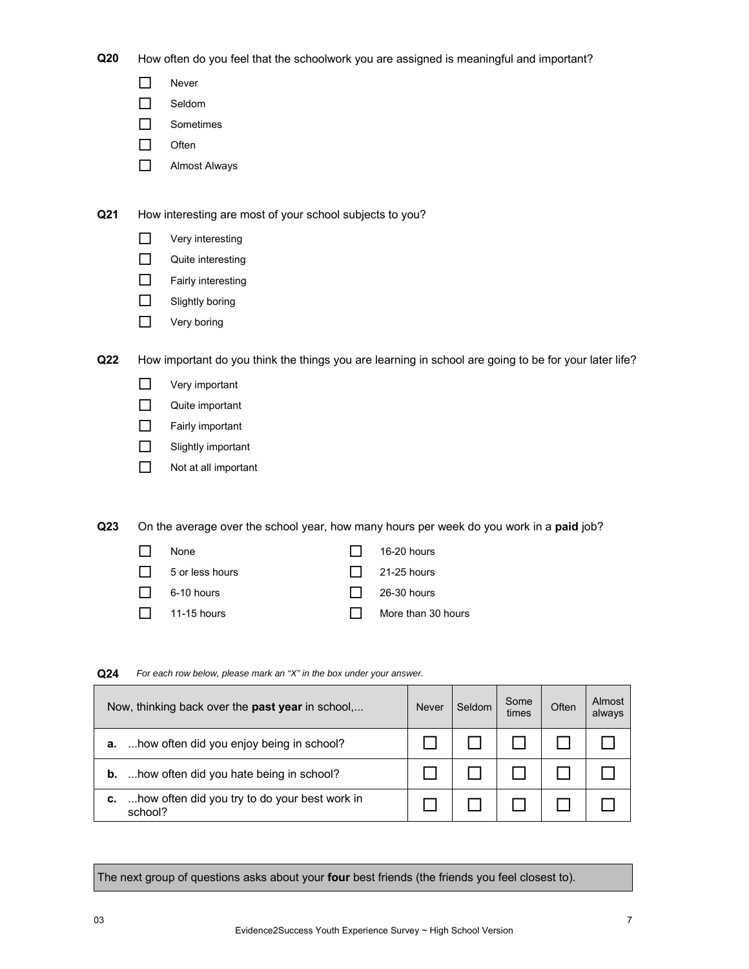**Q20** How often do you feel that the schoolwork you are assigned is meaningful and important?

- **Never**
- Seldom
- □ Sometimes
- $\Box$  Often
- **NIMOST Always**

**Q21** How interesting are most of your school subjects to you?

- **D** Very interesting
- Quite interesting
- Fairly interesting
- $\Box$  Slightly boring
- **Nery boring**

**Q22** How important do you think the things you are learning in school are going to be for your later life?

- **Nery** important
- Quite important
- $\Box$  Fairly important
- Slightly important
- Not at all important

**Q23** On the average over the school year, how many hours per week do you work in a **paid** job?

 $\Box$  None  $\Box$  16-20 hours  $\Box$  5 or less hours  $\Box$  21-25 hours  $\Box$  6-10 hours  $\Box$  26-30 hours  $\Box$  11-15 hours  $\Box$  More than 30 hours

|    | Now, thinking back over the <b>past year</b> in school,  | <b>Never</b> | Seldom | Some<br>times | Often | Almost<br>always |
|----|----------------------------------------------------------|--------------|--------|---------------|-------|------------------|
| a. | how often did you enjoy being in school?                 |              |        |               |       |                  |
| b. | how often did you hate being in school?                  |              |        |               |       |                  |
| c. | how often did you try to do your best work in<br>school? |              |        |               |       |                  |

#### **Q24** *For each row below, please mark an "X" in the box under your answer.*

The next group of questions asks about your **four** best friends (the friends you feel closest to).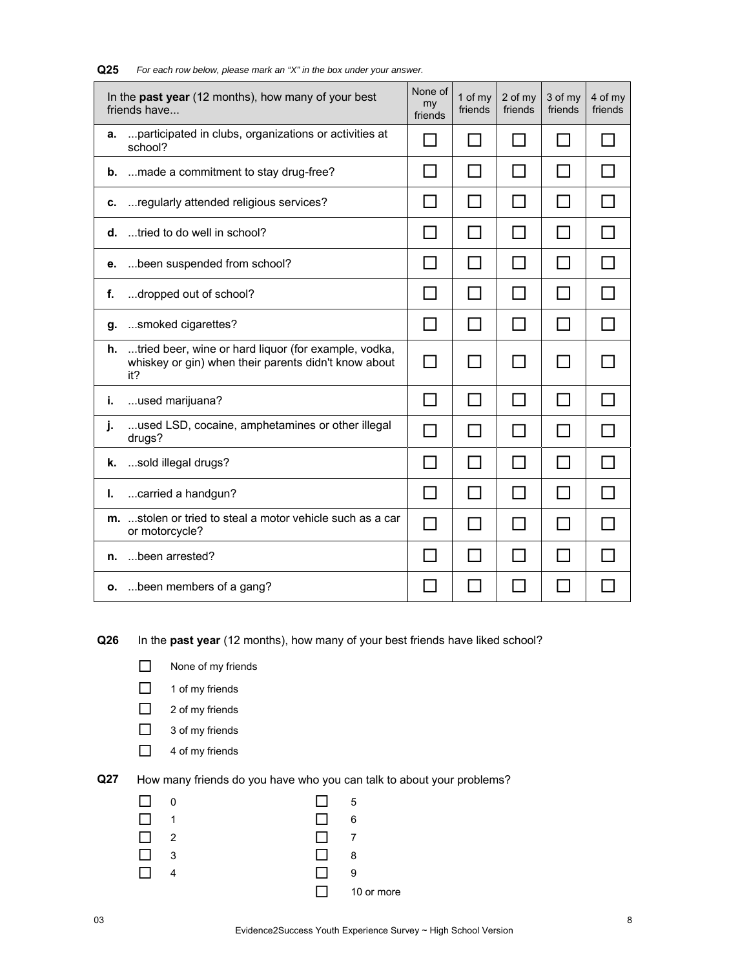|    | In the past year (12 months), how many of your best<br>friends have                                                 | None of<br>my<br>friends | 1 of my<br>friends | 2 of my<br>friends | 3 of my<br>friends | 4 of my<br>friends |
|----|---------------------------------------------------------------------------------------------------------------------|--------------------------|--------------------|--------------------|--------------------|--------------------|
| а. | participated in clubs, organizations or activities at<br>school?                                                    | - 1                      | ΙI                 | ΙI                 | 1 I                |                    |
| b. | made a commitment to stay drug-free?                                                                                |                          |                    | H                  | $\Box$             |                    |
| с. | regularly attended religious services?                                                                              |                          | l I                |                    | $\mathsf{L}$       |                    |
| d. | tried to do well in school?                                                                                         |                          |                    |                    | П                  |                    |
| е. | been suspended from school?                                                                                         |                          |                    |                    |                    |                    |
| f. | dropped out of school?                                                                                              | $\blacksquare$           | П                  | $\Box$             | $\Box$             |                    |
| g. | smoked cigarettes?                                                                                                  |                          |                    |                    | ΙI                 |                    |
| h. | tried beer, wine or hard liquor (for example, vodka,<br>whiskey or gin) when their parents didn't know about<br>it? |                          | $\blacksquare$     | $\blacksquare$     | $\mathsf{L}$       |                    |
| i. | used marijuana?                                                                                                     |                          |                    |                    |                    |                    |
| j. | used LSD, cocaine, amphetamines or other illegal<br>drugs?                                                          |                          | $\mathsf{L}$       |                    |                    |                    |
| k. | sold illegal drugs?                                                                                                 |                          |                    |                    | $\mathsf{L}$       |                    |
| ı. | carried a handgun?                                                                                                  |                          |                    |                    |                    |                    |
|    | m. stolen or tried to steal a motor vehicle such as a car<br>or motorcycle?                                         | $\blacksquare$           |                    |                    | $\mathsf{L}$       |                    |
| n. | been arrested?                                                                                                      |                          |                    |                    |                    |                    |
|    | o.  been members of a gang?                                                                                         |                          |                    |                    |                    |                    |

**Q25** *For each row below, please mark an "X" in the box under your answer.*

**Q26** In the **past year** (12 months), how many of your best friends have liked school?

- None of my friends
- $\Box$  1 of my friends
- $\Box$  2 of my friends
- □ 3 of my friends
- □ 4 of my friends
- 

**Q27** How many friends do you have who you can talk to about your problems?

|   | ı            | -5         |
|---|--------------|------------|
| 1 | $\Box$       | 6          |
| 2 | $\mathsf{L}$ | 7          |
| 3 | $\mathsf{L}$ | 8          |
|   | - 1          | 9          |
|   | л. I.        | 10 or more |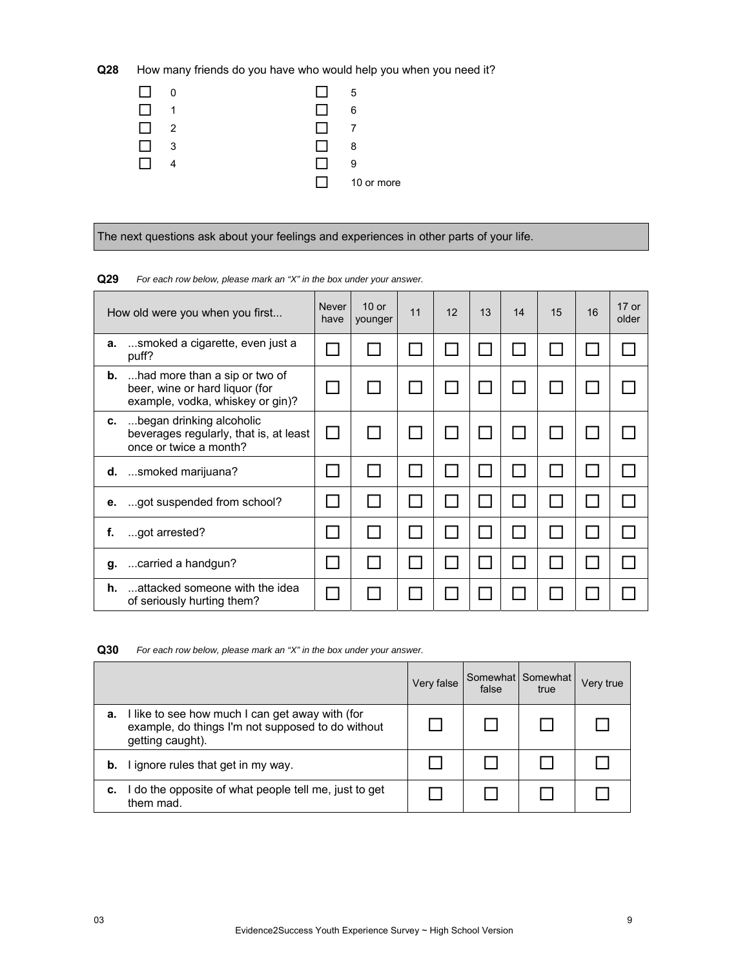**Q28** How many friends do you have who would help you when you need it?

| 0 | . . | -5         |
|---|-----|------------|
| 1 | I I | 6          |
| 2 | U.  |            |
| 3 | 1 L | 8          |
|   | l 1 | 9          |
|   | . . | 10 or more |

The next questions ask about your feelings and experiences in other parts of your life.

# How old were you when you first...  $\parallel$  Never have 10 or younger 11 | 12 | 13 | 14 | 15 | 16 | 17 or older **a.** ...smoked a cigarette, even just a  $\boxed{\Box}$   $\boxed{\Box}$   $\boxed{\Box}$   $\boxed{\Box}$   $\boxed{\Box}$   $\boxed{\Box}$   $\boxed{\Box}$   $\boxed{\Box}$   $\boxed{\Box}$ **b.** ...had more than a sip or two of beer, wine or hard liquor (for example, vodka, whiskey or gin)? 0 | 0 | 0 | 0 | 0 | 0 | 0 | 0 | 0 **c.** ...began drinking alcoholic beverages regularly, that is, at least once or twice a month? 0 | 0 | 0 | 0 | 0 | 0 | 0 | 0 | 0 **d.** ...smoked marijuana? **e.** ...got suspended from school? **f.** ...got arrested? **g.** ...carried a handgun? **h.** ...attacked someone with the idea of seriously hurting them?

**Q29** *For each row below, please mark an "X" in the box under your answer.* 

**Q30** *For each row below, please mark an "X" in the box under your answer.* 

|    |                                                                                                                          | Very false | false | Somewhat Somewhat<br>true | Very true |
|----|--------------------------------------------------------------------------------------------------------------------------|------------|-------|---------------------------|-----------|
| а. | I like to see how much I can get away with (for<br>example, do things I'm not supposed to do without<br>getting caught). |            |       |                           |           |
| b. | I ignore rules that get in my way.                                                                                       |            |       |                           |           |
| с. | I do the opposite of what people tell me, just to get<br>them mad.                                                       |            |       |                           |           |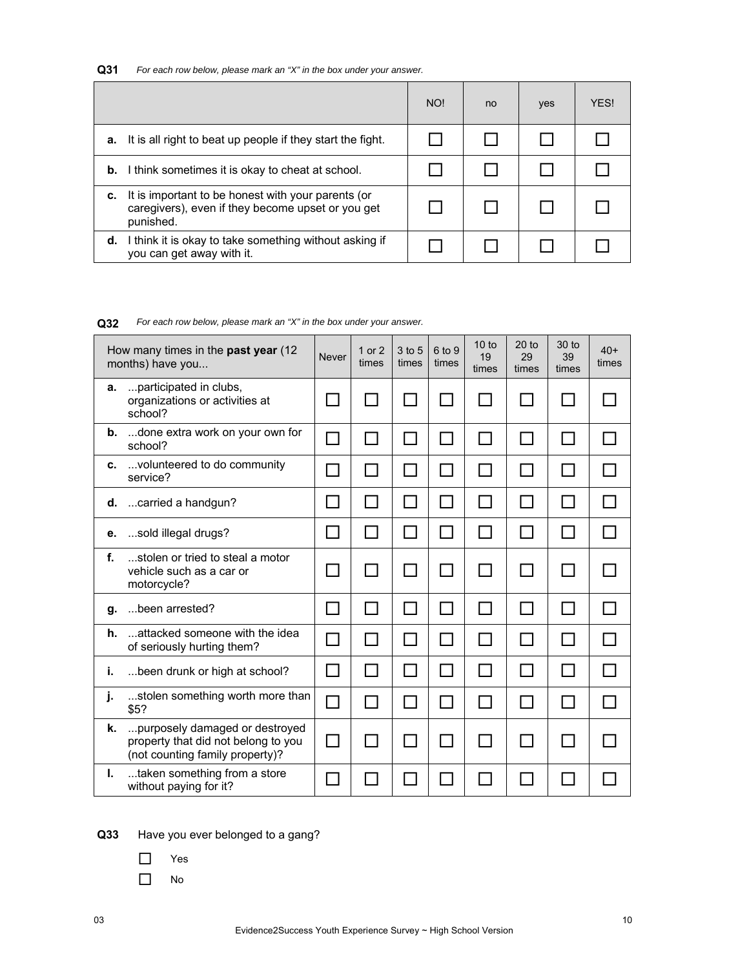| Q31 | For each row below, please mark an "X" in the box under your answer. |  |  |  |
|-----|----------------------------------------------------------------------|--|--|--|
|-----|----------------------------------------------------------------------|--|--|--|

|    |                                                                                                                      | NO! | no | yes | <b>YFS!</b> |
|----|----------------------------------------------------------------------------------------------------------------------|-----|----|-----|-------------|
| а. | It is all right to beat up people if they start the fight.                                                           |     |    |     |             |
|    | <b>b.</b> I think sometimes it is okay to cheat at school.                                                           |     |    |     |             |
| c. | It is important to be honest with your parents (or<br>caregivers), even if they become upset or you get<br>punished. |     |    |     |             |
| d. | I think it is okay to take something without asking if<br>you can get away with it.                                  |     |    |     |             |

**Q32** *For each row below, please mark an "X" in the box under your answer.*

|    | How many times in the past year (12<br>months) have you                                                  | <b>Never</b>                | 1 or 2<br>times | 3 to 5<br>times | 6 to 9<br>times | $10$ to<br>19<br>times | $20$ to<br>29<br>times | 30 to<br>39<br>times        | $40+$<br>times |
|----|----------------------------------------------------------------------------------------------------------|-----------------------------|-----------------|-----------------|-----------------|------------------------|------------------------|-----------------------------|----------------|
| a. | participated in clubs,<br>organizations or activities at<br>school?                                      |                             |                 |                 |                 |                        |                        |                             |                |
|    | <b>b.</b> done extra work on your own for<br>school?                                                     |                             | $\blacksquare$  | $\sim$          | $\mathcal{L}$   | $\mathbf{I}$           | $\mathbf{I}$           | ⊓                           |                |
| c. | volunteered to do community<br>service?                                                                  |                             | $\blacksquare$  |                 |                 |                        | H                      |                             |                |
| d. | carried a handgun?                                                                                       |                             | 1 I             |                 |                 | $\mathbf{I}$           | $\mathsf{L}$           | <b>Contract</b>             |                |
| е. | sold illegal drugs?                                                                                      |                             | $\mathbf{I}$    |                 |                 |                        | H                      |                             |                |
| f. | stolen or tried to steal a motor<br>vehicle such as a car or<br>motorcycle?                              |                             |                 |                 |                 |                        |                        |                             |                |
| g. | been arrested?                                                                                           |                             | $\Box$          | $\blacksquare$  | ΙI              |                        | $\mathsf{L}$           | ΙI                          |                |
| h. | attacked someone with the idea<br>of seriously hurting them?                                             |                             | ΙI              | $\mathcal{L}$   |                 | $\mathbf{I}$           | H                      | $\mathcal{L}$               |                |
| j. | been drunk or high at school?                                                                            |                             | ⊓               | $\mathcal{L}$   | $\mathsf{L}$    | $\mathsf{L}$           | $\mathsf{L}$           | ΙI                          | $\mathbf{r}$   |
| j. | stolen something worth more than<br>\$5?                                                                 | $\mathcal{L}_{\mathcal{A}}$ | П               | $\mathcal{L}$   |                 | $\Box$                 | H                      | $\mathcal{L}_{\mathcal{A}}$ |                |
| k. | purposely damaged or destroyed<br>property that did not belong to you<br>(not counting family property)? |                             |                 |                 |                 |                        |                        |                             |                |
| L. | taken something from a store<br>without paying for it?                                                   |                             |                 |                 |                 |                        |                        |                             |                |

**Q33** Have you ever belonged to a gang?

□ Yes

 $\Box$  No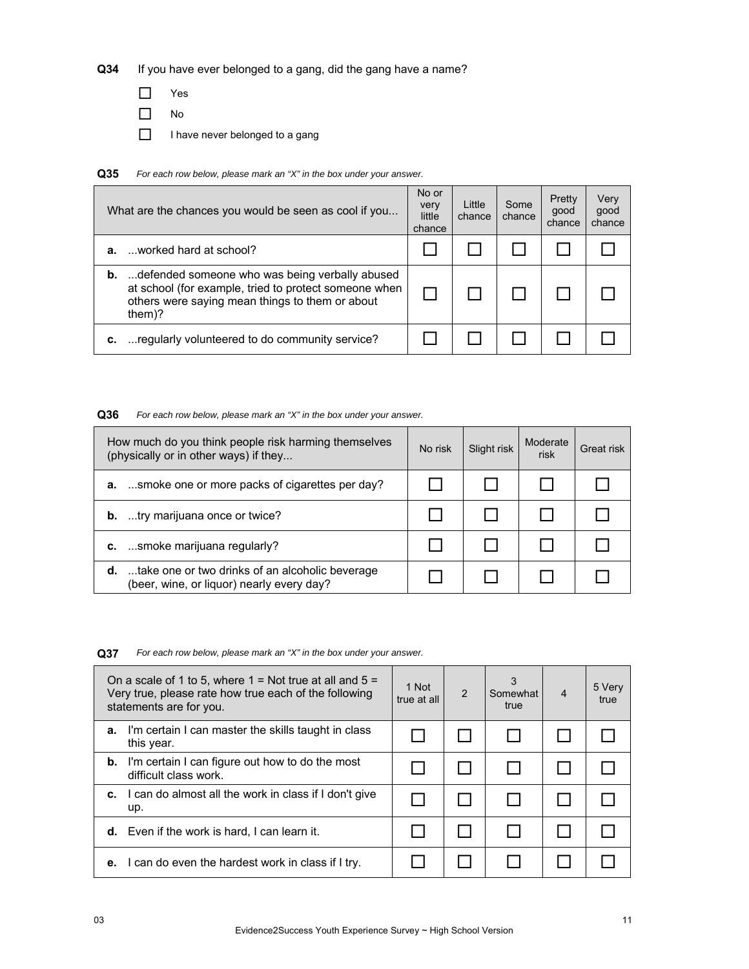**Q34** If you have ever belonged to a gang, did the gang have a name?

- □ Yes
- No
- $\Box$  I have never belonged to a gang

**Q35** *For each row below, please mark an "X" in the box under your answer.*

|    | What are the chances you would be seen as cool if you                                                                                                                          | No or<br>very<br>little<br>chance | Little<br>chance | Some<br>chance | Pretty<br>good<br>chance | Very<br>good<br>chance |
|----|--------------------------------------------------------------------------------------------------------------------------------------------------------------------------------|-----------------------------------|------------------|----------------|--------------------------|------------------------|
| а. | worked hard at school?                                                                                                                                                         |                                   |                  |                |                          |                        |
|    | <b>b.</b> defended someone who was being verbally abused<br>at school (for example, tried to protect someone when<br>others were saying mean things to them or about<br>them)? |                                   |                  |                |                          |                        |
|    | regularly volunteered to do community service?                                                                                                                                 |                                   |                  |                |                          |                        |

# **Q36** *For each row below, please mark an "X" in the box under your answer.*

| How much do you think people risk harming themselves<br>(physically or in other ways) if they          | No risk | Slight risk | Moderate<br>risk | Great risk |
|--------------------------------------------------------------------------------------------------------|---------|-------------|------------------|------------|
| a. smoke one or more packs of cigarettes per day?                                                      |         |             |                  |            |
| <b>b.</b> try marijuana once or twice?                                                                 |         |             |                  |            |
| c. smoke marijuana regularly?                                                                          |         |             |                  |            |
| <b>d.</b> take one or two drinks of an alcoholic beverage<br>(beer, wine, or liquor) nearly every day? |         |             |                  |            |

**Q37** *For each row below, please mark an "X" in the box under your answer.*

|    | On a scale of 1 to 5, where $1 =$ Not true at all and $5 =$<br>Very true, please rate how true each of the following<br>statements are for you. | 1 Not<br>true at all | $\mathcal{P}$ | 3<br>Somewhat<br>true | $\overline{4}$ | 5 Very<br>true |
|----|-------------------------------------------------------------------------------------------------------------------------------------------------|----------------------|---------------|-----------------------|----------------|----------------|
| а. | I'm certain I can master the skills taught in class<br>this year.                                                                               |                      |               |                       |                |                |
| b. | I'm certain I can figure out how to do the most<br>difficult class work.                                                                        |                      |               |                       |                |                |
| с. | I can do almost all the work in class if I don't give<br>up.                                                                                    |                      |               |                       |                |                |
|    | <b>d.</b> Even if the work is hard, I can learn it.                                                                                             |                      |               |                       |                |                |
| е. | I can do even the hardest work in class if I try.                                                                                               |                      |               |                       |                |                |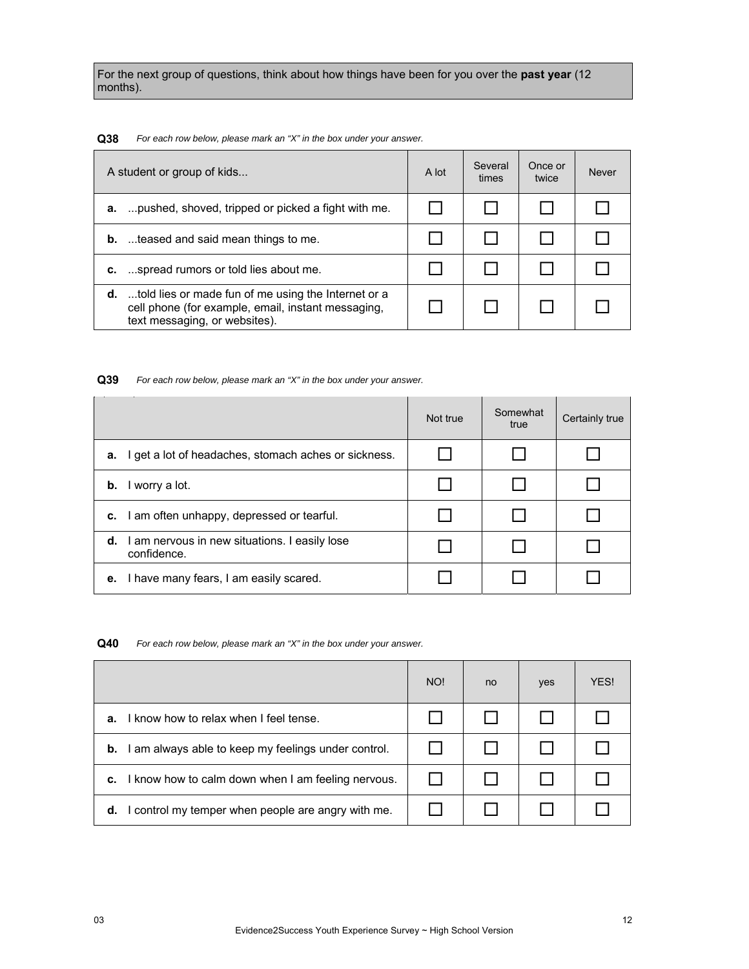For the next group of questions, think about how things have been for you over the **past year** (12 months).

#### **Q38** *For each row below, please mark an "X" in the box under your answer.*

| A student or group of kids                                                                                                                           | A lot | Several<br>times | Once or<br>twice | <b>Never</b> |
|------------------------------------------------------------------------------------------------------------------------------------------------------|-------|------------------|------------------|--------------|
| pushed, shoved, tripped or picked a fight with me.<br>а.                                                                                             |       |                  |                  |              |
| <b>b.</b> teased and said mean things to me.                                                                                                         |       |                  |                  |              |
| <b>c.</b> spread rumors or told lies about me.                                                                                                       |       |                  |                  |              |
| <b>d.</b> told lies or made fun of me using the Internet or a<br>cell phone (for example, email, instant messaging,<br>text messaging, or websites). |       |                  |                  |              |

#### **Q39** *For each row below, please mark an "X" in the box under your answer.*

|    |                                                              | Not true | Somewhat<br>true | Certainly true |
|----|--------------------------------------------------------------|----------|------------------|----------------|
| а. | I get a lot of headaches, stomach aches or sickness.         |          |                  |                |
| b. | I worry a lot.                                               |          |                  |                |
|    | c. I am often unhappy, depressed or tearful.                 |          |                  |                |
| d. | I am nervous in new situations. I easily lose<br>confidence. |          |                  |                |
|    | e. I have many fears, I am easily scared.                    |          |                  |                |

**Q40** *For each row below, please mark an "X" in the box under your answer.*

|                                                           | NO! | no | yes | <b>YFS!</b> |
|-----------------------------------------------------------|-----|----|-----|-------------|
| I know how to relax when I feel tense.<br>а.              |     |    |     |             |
| I am always able to keep my feelings under control.<br>b. |     |    |     |             |
| I know how to calm down when I am feeling nervous.<br>c.  |     |    |     |             |
| I control my temper when people are angry with me.<br>d.  |     |    |     |             |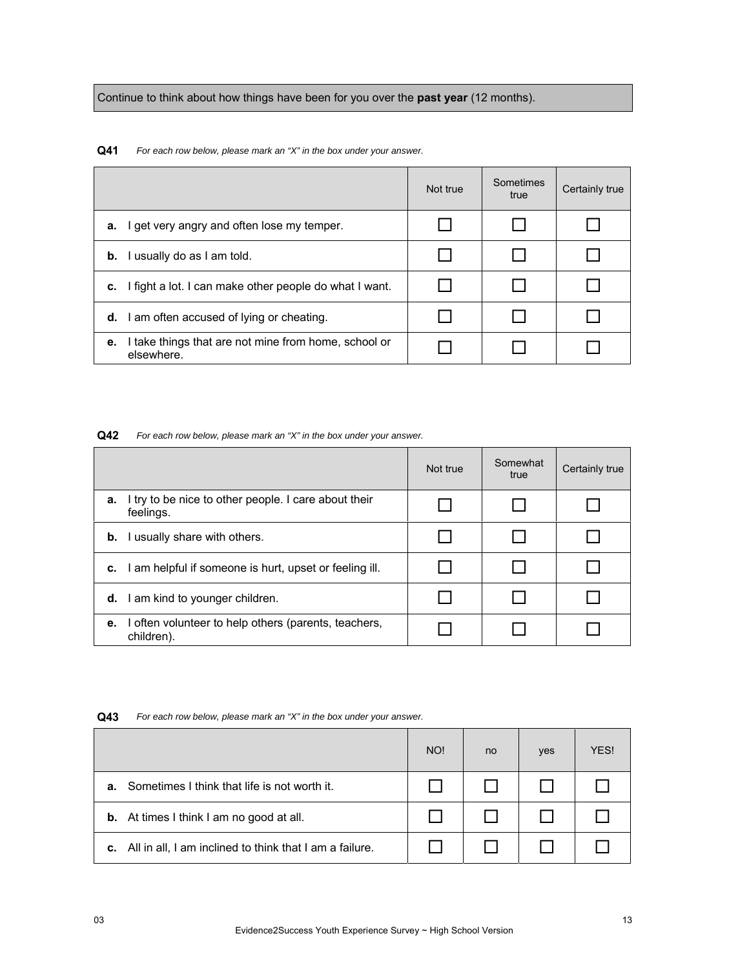Continue to think about how things have been for you over the **past year** (12 months).

**Q41** *For each row below, please mark an "X" in the box under your answer.*

|                                                                          | Not true | Sometimes<br>true | Certainly true |
|--------------------------------------------------------------------------|----------|-------------------|----------------|
| get very angry and often lose my temper.<br>а.                           |          |                   |                |
| usually do as I am told.<br>b.                                           |          |                   |                |
| I fight a lot. I can make other people do what I want.<br>c.             |          |                   |                |
| am often accused of lying or cheating.<br>d.                             |          |                   |                |
| I take things that are not mine from home, school or<br>е.<br>elsewhere. |          |                   |                |

#### **Q42** *For each row below, please mark an "X" in the box under your answer.*

|    |                                                                    | Not true | Somewhat<br>true | Certainly true |
|----|--------------------------------------------------------------------|----------|------------------|----------------|
| а. | I try to be nice to other people. I care about their<br>feelings.  |          |                  |                |
|    | <b>b.</b> I usually share with others.                             |          |                  |                |
|    | c. I am helpful if someone is hurt, upset or feeling ill.          |          |                  |                |
|    | d. I am kind to younger children.                                  |          |                  |                |
| е. | I often volunteer to help others (parents, teachers,<br>children). |          |                  |                |

| Q43 | For each row below, please mark an "X" in the box under your answer. |
|-----|----------------------------------------------------------------------|
|-----|----------------------------------------------------------------------|

|    |                                                                   | NO! | no. | yes | YES! |
|----|-------------------------------------------------------------------|-----|-----|-----|------|
| а. | Sometimes I think that life is not worth it.                      |     |     |     |      |
|    | <b>b.</b> At times I think I am no good at all.                   |     |     |     |      |
|    | <b>c.</b> All in all, I am inclined to think that I am a failure. |     |     |     |      |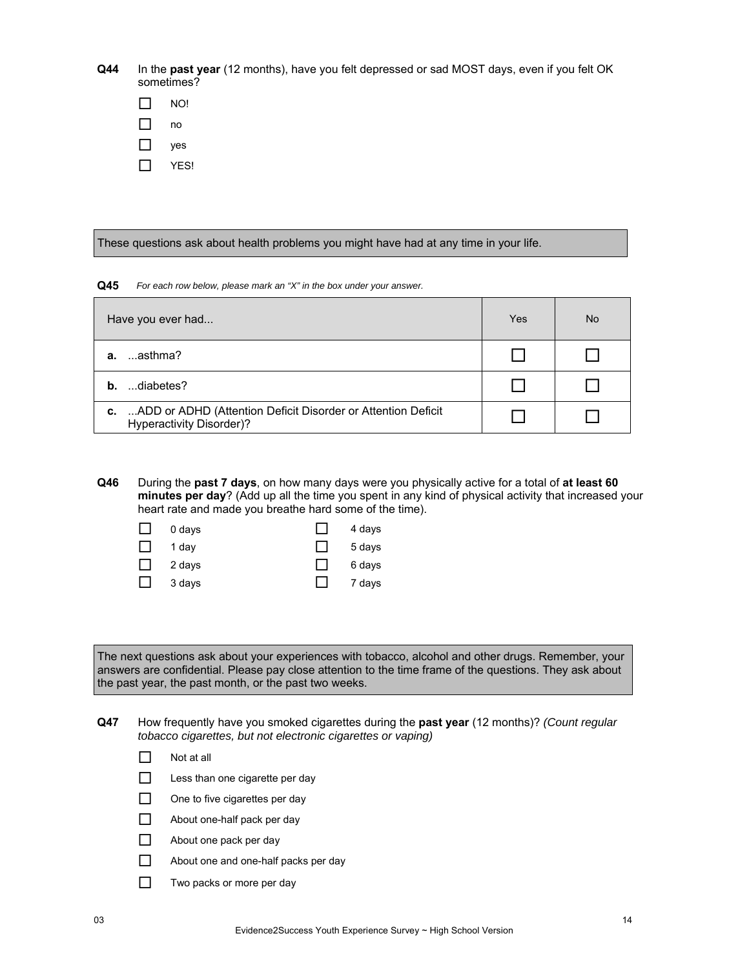**Q44** In the **past year** (12 months), have you felt depressed or sad MOST days, even if you felt OK sometimes?

| ימא |
|-----|
| no  |
| ves |

 $\Box$  YES!

These questions ask about health problems you might have had at any time in your life.

**Q45** *For each row below, please mark an "X" in the box under your answer.*

| Have you ever had                                                                                     | Yes | <b>No</b> |
|-------------------------------------------------------------------------------------------------------|-----|-----------|
| …asthma?<br>а.                                                                                        |     |           |
| diabetes?<br>b.                                                                                       |     |           |
| ADD or ADHD (Attention Deficit Disorder or Attention Deficit<br>c.<br><b>Hyperactivity Disorder)?</b> |     |           |

**Q46** During the **past 7 days**, on how many days were you physically active for a total of **at least 60 minutes per day**? (Add up all the time you spent in any kind of physical activity that increased your heart rate and made you breathe hard some of the time).

| ΙI | 0 days | $\mathbf{I}$ | 4 days |
|----|--------|--------------|--------|
| П  | 1 day  |              | 5 days |
| П  | 2 days |              | 6 days |
| L  | 3 days |              | 7 days |

The next questions ask about your experiences with tobacco, alcohol and other drugs. Remember, your answers are confidential. Please pay close attention to the time frame of the questions. They ask about the past year, the past month, or the past two weeks.

**Q47** How frequently have you smoked cigarettes during the **past year** (12 months)? *(Count regular tobacco cigarettes, but not electronic cigarettes or vaping)*

- $\Box$  Not at all
- $\Box$  Less than one cigarette per day
- $\Box$  One to five cigarettes per day
- $\Box$  About one-half pack per day
- About one pack per day
- About one and one-half packs per day
- $\Box$  Two packs or more per day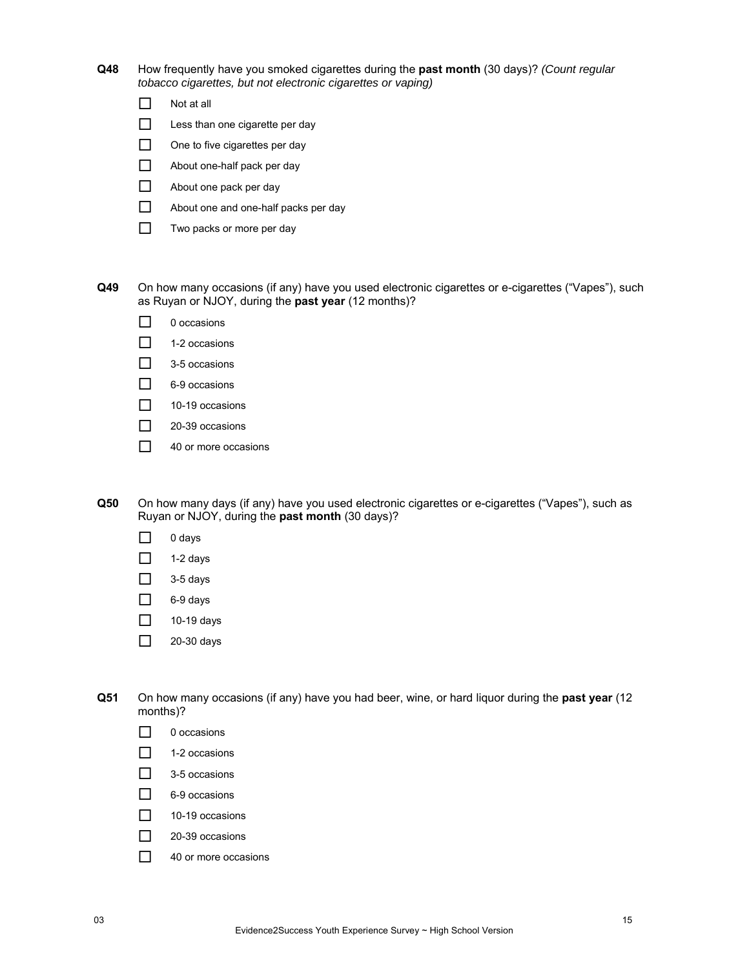**Q48** How frequently have you smoked cigarettes during the **past month** (30 days)? *(Count regular tobacco cigarettes, but not electronic cigarettes or vaping)*

| Not at all |  |
|------------|--|
|------------|--|

- $\Box$  Less than one cigarette per day
- $\Box$  One to five cigarettes per day
- About one-half pack per day
- About one pack per day
- About one and one-half packs per day
- $\Box$  Two packs or more per day

**Q49** On how many occasions (if any) have you used electronic cigarettes or e-cigarettes ("Vapes"), such as Ruyan or NJOY, during the **past year** (12 months)?

- □ 0 occasions
- $\Box$  1-2 occasions
- $\Box$  3-5 occasions
- □ 6-9 occasions
- $\Box$  10-19 occasions
- $\Box$  20-39 occasions
- $\Box$  40 or more occasions

**Q50** On how many days (if any) have you used electronic cigarettes or e-cigarettes ("Vapes"), such as Ruyan or NJOY, during the **past month** (30 days)?

- $\Box$  0 days
- $\Box$  1-2 days
- $\Box$  3-5 days
- $\Box$  6-9 days
- $\Box$  10-19 days
- $\Box$  20-30 days

**Q51** On how many occasions (if any) have you had beer, wine, or hard liquor during the **past year** (12 months)?

- $\Box$  0 occasions
- $\Box$  1-2 occasions
- $\Box$  3-5 occasions
- $\Box$  6-9 occasions
- $\Box$  10-19 occasions
- 20-39 occasions
- $\Box$  40 or more occasions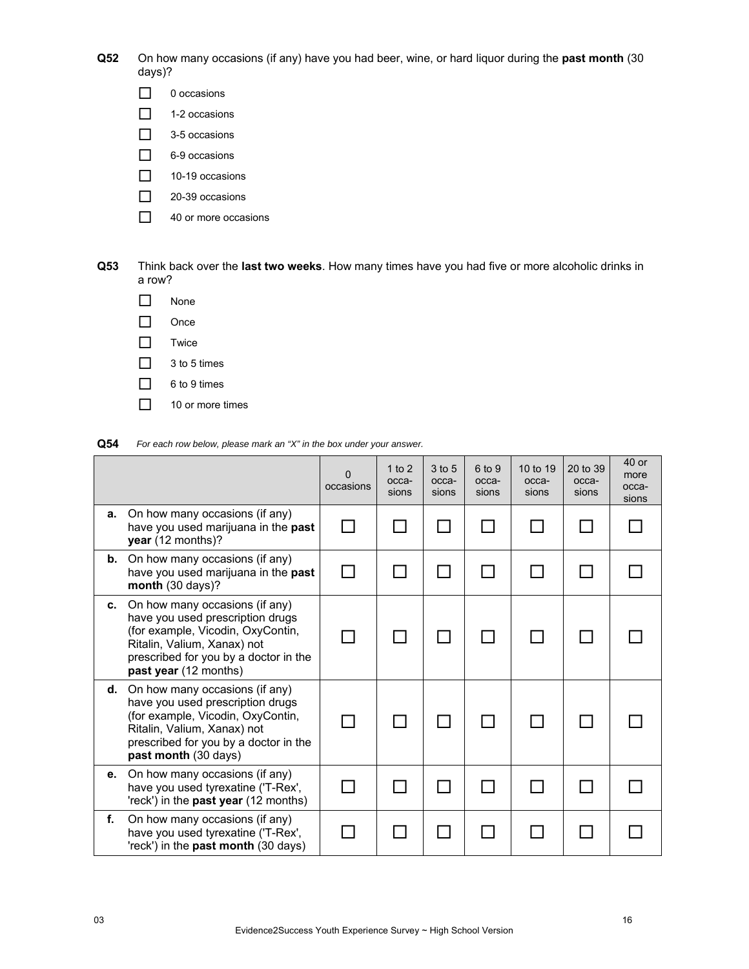**Q52** On how many occasions (if any) have you had beer, wine, or hard liquor during the **past month** (30 days)?

- □ 0 occasions
- $\Box$  1-2 occasions
- $\Box$  3-5 occasions
- □ 6-9 occasions
- $\Box$  10-19 occasions
- □ 20-39 occasions
- 40 or more occasions

**Q53** Think back over the **last two weeks**. How many times have you had five or more alcoholic drinks in a row?

- $\n *None*\n$  $\Box$  Once  $\Box$  Twice  $\Box$  3 to 5 times
- □ 6 to 9 times
- $\Box$  10 or more times

**Q54** *For each row below, please mark an "X" in the box under your answer.*

|    |                                                                                                                                                                                                          | 0<br>occasions | 1 to $2$<br>occa-<br>sions | 3 to 5<br>occa-<br>sions | 6 to 9<br>occa-<br>sions | 10 to 19<br>occa-<br>sions | 20 to 39<br>occa-<br>sions | $40$ or<br>more<br>occa-<br>sions |
|----|----------------------------------------------------------------------------------------------------------------------------------------------------------------------------------------------------------|----------------|----------------------------|--------------------------|--------------------------|----------------------------|----------------------------|-----------------------------------|
| a. | On how many occasions (if any)<br>have you used marijuana in the past<br>year (12 months)?                                                                                                               |                |                            |                          |                          |                            |                            |                                   |
| b. | On how many occasions (if any)<br>have you used marijuana in the past<br>month (30 days)?                                                                                                                |                |                            |                          |                          |                            |                            |                                   |
| C. | On how many occasions (if any)<br>have you used prescription drugs<br>(for example, Vicodin, OxyContin,<br>Ritalin, Valium, Xanax) not<br>prescribed for you by a doctor in the<br>past year (12 months) |                |                            |                          |                          |                            |                            |                                   |
| d. | On how many occasions (if any)<br>have you used prescription drugs<br>(for example, Vicodin, OxyContin,<br>Ritalin, Valium, Xanax) not<br>prescribed for you by a doctor in the<br>past month (30 days)  |                |                            |                          |                          |                            |                            |                                   |
| е. | On how many occasions (if any)<br>have you used tyrexatine ('T-Rex',<br>'reck') in the <b>past year</b> (12 months)                                                                                      |                |                            |                          |                          |                            |                            |                                   |
| f. | On how many occasions (if any)<br>have you used tyrexatine ('T-Rex',<br>'reck') in the past month (30 days)                                                                                              |                |                            |                          |                          |                            |                            |                                   |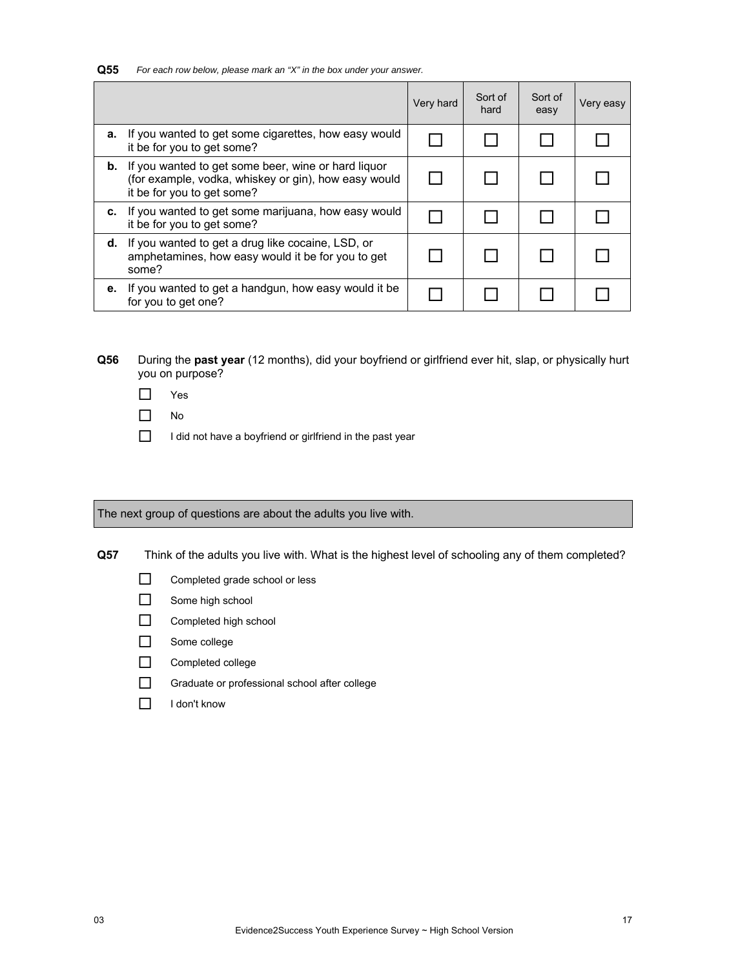**Q55** *For each row below, please mark an "X" in the box under your answer.*

|    |                                                                                                                                                     | Very hard | Sort of<br>hard | Sort of<br>easy | Very easy |
|----|-----------------------------------------------------------------------------------------------------------------------------------------------------|-----------|-----------------|-----------------|-----------|
| а. | If you wanted to get some cigarettes, how easy would<br>it be for you to get some?                                                                  |           |                 |                 |           |
|    | <b>b.</b> If you wanted to get some beer, wine or hard liquor<br>(for example, vodka, whiskey or gin), how easy would<br>it be for you to get some? |           |                 |                 |           |
| c. | If you wanted to get some marijuana, how easy would<br>it be for you to get some?                                                                   |           |                 |                 |           |
| d. | If you wanted to get a drug like cocaine, LSD, or<br>amphetamines, how easy would it be for you to get<br>some?                                     |           |                 |                 |           |
| е. | If you wanted to get a handgun, how easy would it be<br>for you to get one?                                                                         |           |                 |                 |           |

**Q56** During the **past year** (12 months), did your boyfriend or girlfriend ever hit, slap, or physically hurt you on purpose?

- Yes
- $\Box$  No
- $\Box$  I did not have a boyfriend or girlfriend in the past year

The next group of questions are about the adults you live with.

**Q57** Think of the adults you live with. What is the highest level of schooling any of them completed?

- Completed grade school or less
- Some high school
- Completed high school
- Some college
- Completed college
- Graduate or professional school after college
- $\Box$  I don't know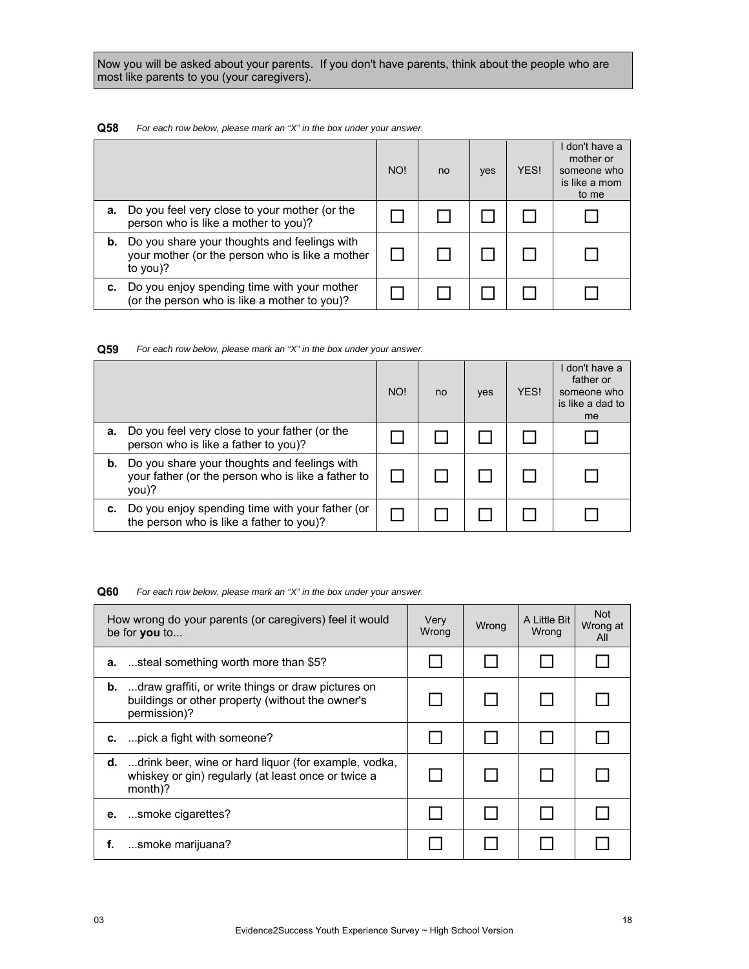Now you will be asked about your parents. If you don't have parents, think about the people who are most like parents to you (your caregivers).

# **Q58** *For each row below, please mark an "X" in the box under your answer.*

|    |                                                                                                             | NO! | no | yes | YES! | don't have a<br>mother or<br>someone who<br>is like a mom<br>to me |
|----|-------------------------------------------------------------------------------------------------------------|-----|----|-----|------|--------------------------------------------------------------------|
| а. | Do you feel very close to your mother (or the<br>person who is like a mother to you)?                       |     |    |     |      |                                                                    |
| b. | Do you share your thoughts and feelings with<br>your mother (or the person who is like a mother<br>to you)? |     |    |     |      |                                                                    |
| c. | Do you enjoy spending time with your mother<br>(or the person who is like a mother to you)?                 |     |    |     |      |                                                                    |

**Q59** *For each row below, please mark an "X" in the box under your answer.*

|    |                                                                                                             | NO! | no | yes | YES! | don't have a<br>father or<br>someone who<br>is like a dad to<br>me |
|----|-------------------------------------------------------------------------------------------------------------|-----|----|-----|------|--------------------------------------------------------------------|
| а. | Do you feel very close to your father (or the<br>person who is like a father to you)?                       |     |    |     |      |                                                                    |
| b. | Do you share your thoughts and feelings with<br>your father (or the person who is like a father to<br>you)? |     |    |     |      |                                                                    |
| c. | Do you enjoy spending time with your father (or<br>the person who is like a father to you)?                 |     |    |     |      |                                                                    |

#### **Q60** *For each row below, please mark an "X" in the box under your answer.*

|    | How wrong do your parents (or caregivers) feel it would<br>be for you to                                                         | Very<br>Wrong | Wrong | A Little Bit<br>Wrona | <b>Not</b><br>Wrong at<br>All |
|----|----------------------------------------------------------------------------------------------------------------------------------|---------------|-------|-----------------------|-------------------------------|
|    | <b>a.</b> steal something worth more than \$5?                                                                                   |               |       |                       |                               |
|    | <b>b.</b> draw graffiti, or write things or draw pictures on<br>buildings or other property (without the owner's<br>permission)? |               |       |                       |                               |
|    | <b>c.</b> pick a fight with someone?                                                                                             |               |       |                       |                               |
|    | <b>d.</b> drink beer, wine or hard liquor (for example, vodka,<br>whiskey or gin) regularly (at least once or twice a<br>month)? |               |       |                       |                               |
|    | <b>e.</b> smoke cigarettes?                                                                                                      |               |       |                       |                               |
| f. | smoke marijuana?                                                                                                                 |               |       |                       |                               |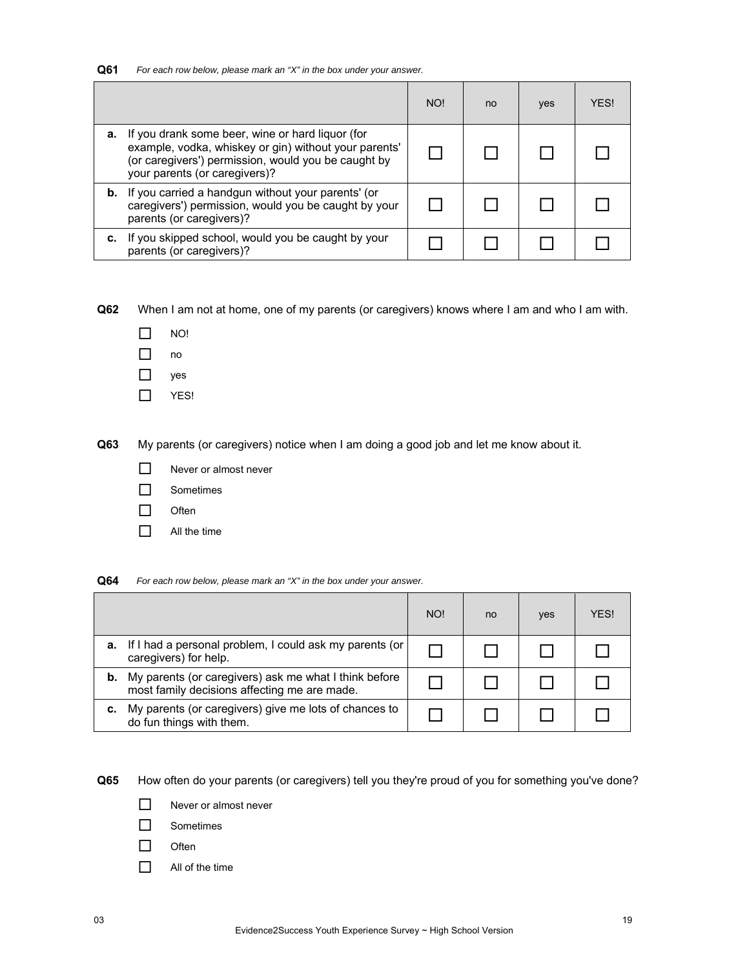| Q61 | For each row below, please mark an "X" in the box under your answer. |  |  |  |
|-----|----------------------------------------------------------------------|--|--|--|
|-----|----------------------------------------------------------------------|--|--|--|

|    |                                                                                                                                                                                                   | NO! | no | yes | <b>YFS!</b> |
|----|---------------------------------------------------------------------------------------------------------------------------------------------------------------------------------------------------|-----|----|-----|-------------|
| а. | If you drank some beer, wine or hard liquor (for<br>example, vodka, whiskey or gin) without your parents'<br>(or caregivers') permission, would you be caught by<br>your parents (or caregivers)? |     |    |     |             |
|    | <b>b.</b> If you carried a handgun without your parents' (or<br>caregivers') permission, would you be caught by your<br>parents (or caregivers)?                                                  |     |    |     |             |
|    | c. If you skipped school, would you be caught by your<br>parents (or caregivers)?                                                                                                                 |     |    |     |             |

**Q62** When I am not at home, one of my parents (or caregivers) knows where I am and who I am with.

- $\Box$  NO!
- $\Box$  no
- $\Box$  yes
- $\Box$  YES!

**Q63** My parents (or caregivers) notice when I am doing a good job and let me know about it.

- $\Box$  Never or almost never
- Sometimes
- $\Box$  Often
- $\Box$  All the time

**Q64** *For each row below, please mark an "X" in the box under your answer.*

|    |                                                                                                       | NO! | no | yes | <b>YFS!</b> |
|----|-------------------------------------------------------------------------------------------------------|-----|----|-----|-------------|
| а. | If I had a personal problem, I could ask my parents (or<br>caregivers) for help.                      |     |    |     |             |
|    | My parents (or caregivers) ask me what I think before<br>most family decisions affecting me are made. |     |    |     |             |
|    | My parents (or caregivers) give me lots of chances to<br>do fun things with them.                     |     |    |     |             |

**Q65** How often do your parents (or caregivers) tell you they're proud of you for something you've done?

- $\Box$  Never or almost never
- □ Sometimes
- $\Box$  Often
- $\Box$  All of the time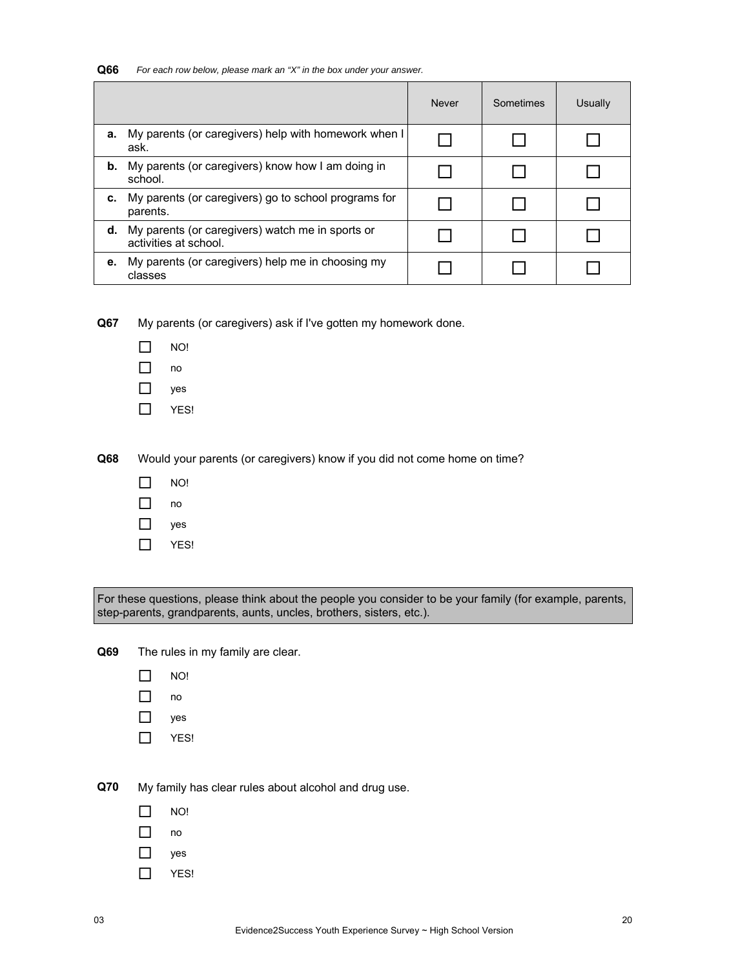| Q66 | For each row below, please mark an "X" in the box under your answer. |  |
|-----|----------------------------------------------------------------------|--|
|-----|----------------------------------------------------------------------|--|

|    |                                                                           | <b>Never</b> | Sometimes | Usually |
|----|---------------------------------------------------------------------------|--------------|-----------|---------|
| a. | My parents (or caregivers) help with homework when I<br>ask.              |              |           |         |
| b. | My parents (or caregivers) know how I am doing in<br>school.              |              |           |         |
| c. | My parents (or caregivers) go to school programs for<br>parents.          |              |           |         |
| d. | My parents (or caregivers) watch me in sports or<br>activities at school. |              |           |         |
| е. | My parents (or caregivers) help me in choosing my<br>classes              |              |           |         |

**Q67** My parents (or caregivers) ask if I've gotten my homework done.

- $\Box$  NO!
- $\Box$  no
- yes
- $\Box$  YES!

**Q68** Would your parents (or caregivers) know if you did not come home on time?

- $\Box$  NO!
- $\Box$  no
- yes
- $\Box$  YES!

For these questions, please think about the people you consider to be your family (for example, parents, step-parents, grandparents, aunts, uncles, brothers, sisters, etc.).

**Q69** The rules in my family are clear.

- $\Box$  NO!
- no
- $\Box$  yes
- $\Box$  YES!

**Q70** My family has clear rules about alcohol and drug use.

- $\Box$  NO!
- $\Box$  no
- □ yes
- $\Pi$  YES!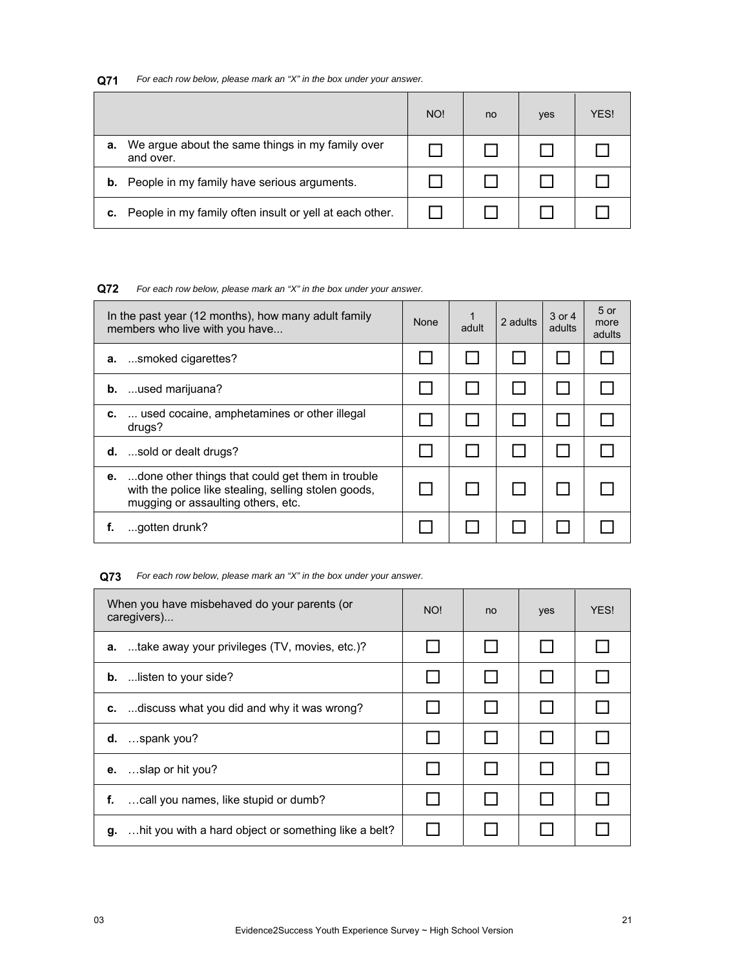# **Q71** *For each row below, please mark an "X" in the box under your answer.*

|    |                                                               | NO! | no | yes | YES! |
|----|---------------------------------------------------------------|-----|----|-----|------|
| а. | We argue about the same things in my family over<br>and over. |     |    |     |      |
| b. | People in my family have serious arguments.                   |     |    |     |      |
| c. | People in my family often insult or yell at each other.       |     |    |     |      |

# **Q72** *For each row below, please mark an "X" in the box under your answer.*

| In the past year (12 months), how many adult family<br>members who live with you have                                                                | None | 1<br>adult | 2 adults | 3 or 4<br>adults | $5$ or<br>more<br>adults |
|------------------------------------------------------------------------------------------------------------------------------------------------------|------|------------|----------|------------------|--------------------------|
| smoked cigarettes?<br>а.                                                                                                                             |      |            |          |                  |                          |
| <b>b.</b> used marijuana?                                                                                                                            |      |            |          |                  |                          |
| used cocaine, amphetamines or other illegal<br>c.<br>drugs?                                                                                          |      |            |          |                  |                          |
| <b>d.</b> sold or dealt drugs?                                                                                                                       |      |            |          |                  |                          |
| done other things that could get them in trouble<br>е.<br>with the police like stealing, selling stolen goods,<br>mugging or assaulting others, etc. |      |            |          |                  |                          |
| gotten drunk?<br>f.                                                                                                                                  |      |            |          |                  |                          |

# **Q73** *For each row below, please mark an "X" in the box under your answer.*

| When you have misbehaved do your parents (or<br>caregivers) | NO! | no | yes | YES! |
|-------------------------------------------------------------|-----|----|-----|------|
| <b>a.</b> take away your privileges (TV, movies, etc.)?     |     |    |     |      |
| <b>b.</b> listen to your side?                              |     |    |     |      |
| discuss what you did and why it was wrong?<br>C.            |     |    |     |      |
| $d.$ spank you?                                             |     |    |     |      |
| slap or hit you?<br>е.                                      |     |    |     |      |
| call you names, like stupid or dumb?<br>f.                  |     |    |     |      |
| hit you with a hard object or something like a belt?<br>g.  |     |    |     |      |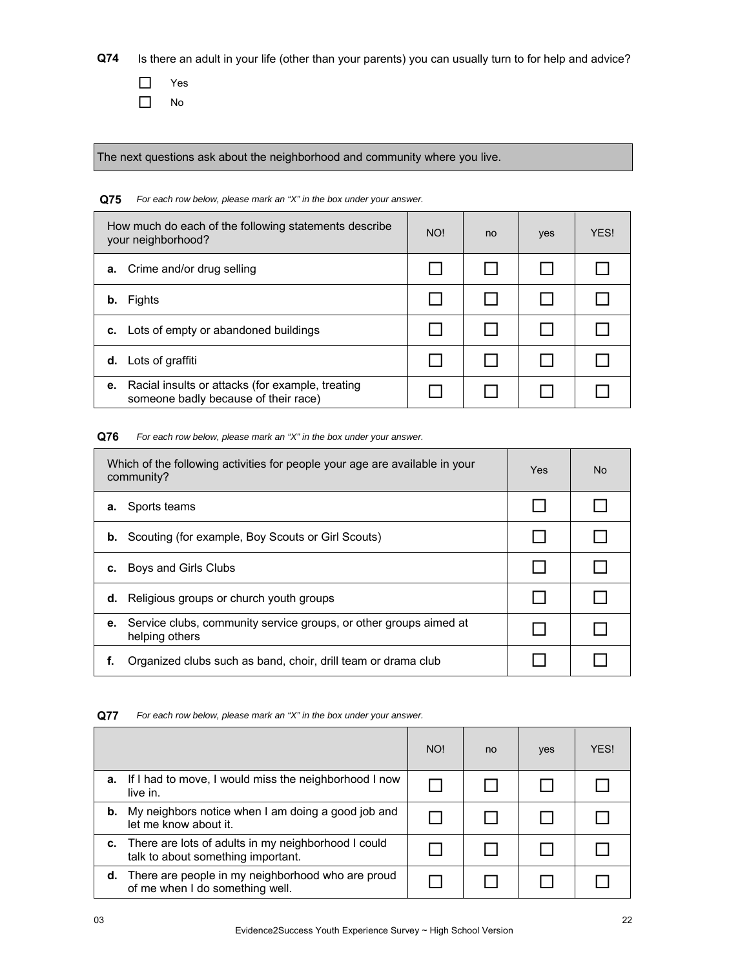**Q74** Is there an adult in your life (other than your parents) you can usually turn to for help and advice?

 Yes  $\Box$  No

The next questions ask about the neighborhood and community where you live.

# **Q75** *For each row below, please mark an "X" in the box under your answer.* How much do each of the following statements describe your neighborhood? We have no your neighborhood? **a.** Crime and/or drug selling  $\Box$   $\Box$   $\Box$   $\Box$   $\Box$   $\Box$   $\Box$ **b.** Fights **c.** Lots of empty or abandoned buildings  $\Box$  │ ◯ │ ◯ │ ◯ │ ◯ **d.** Lots of graffiti **e.** Racial insults or attacks (for example, treating  $\Gamma$  someone badly because of their race)<br>someone badly because of their race)

# **Q76** *For each row below, please mark an "X" in the box under your answer.*

| Which of the following activities for people your age are available in your<br>community? |                                                                   | Yes | <b>No</b> |
|-------------------------------------------------------------------------------------------|-------------------------------------------------------------------|-----|-----------|
| Sports teams<br>а.                                                                        |                                                                   |     |           |
| b.                                                                                        | Scouting (for example, Boy Scouts or Girl Scouts)                 |     |           |
| Boys and Girls Clubs<br>c.                                                                |                                                                   |     |           |
| Religious groups or church youth groups<br>d.                                             |                                                                   |     |           |
| е.<br>helping others                                                                      | Service clubs, community service groups, or other groups aimed at |     |           |
|                                                                                           | Organized clubs such as band, choir, drill team or drama club     |     |           |

|    |                                                                                              | NO! | no | yes | <b>YFS!</b> |
|----|----------------------------------------------------------------------------------------------|-----|----|-----|-------------|
| а. | If I had to move, I would miss the neighborhood I now<br>live in.                            |     |    |     |             |
| b. | My neighbors notice when I am doing a good job and<br>let me know about it.                  |     |    |     |             |
|    | c. There are lots of adults in my neighborhood I could<br>talk to about something important. |     |    |     |             |
|    | d. There are people in my neighborhood who are proud<br>of me when I do something well.      |     |    |     |             |

**Q77** *For each row below, please mark an "X" in the box under your answer.*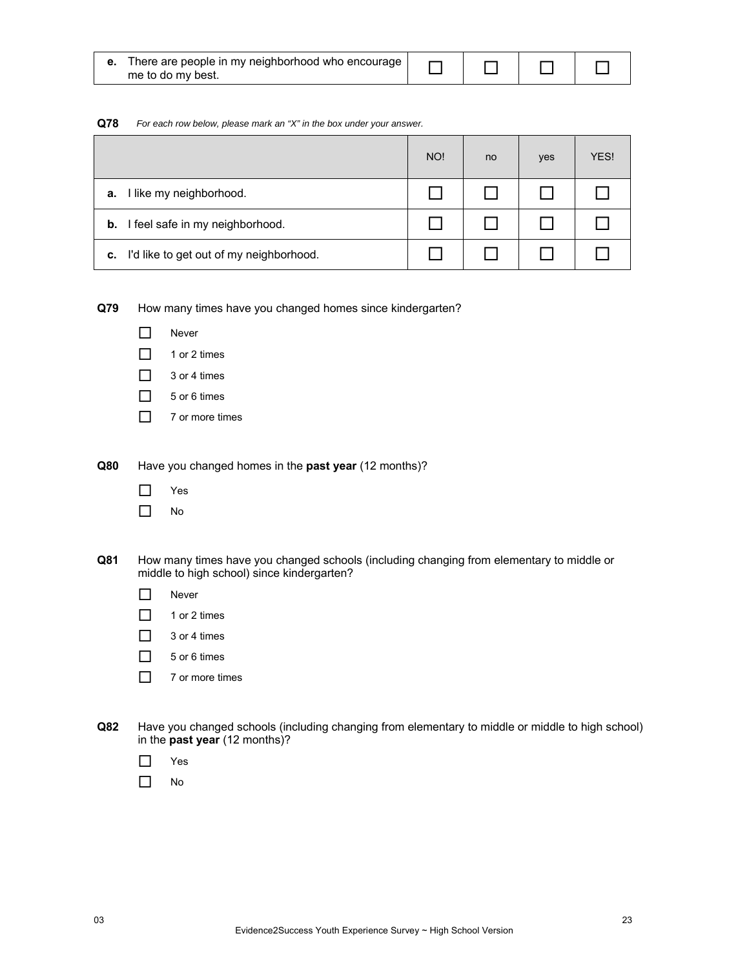| <b>e.</b> There are people in my neighborhood who encourage |  |  |
|-------------------------------------------------------------|--|--|
| me to do my best.                                           |  |  |

#### **Q78** *For each row below, please mark an "X" in the box under your answer.*

|                                               | NO! | no | yes | YES! |
|-----------------------------------------------|-----|----|-----|------|
| I like my neighborhood.<br>а.                 |     |    |     |      |
| I feel safe in my neighborhood.<br>b.         |     |    |     |      |
| I'd like to get out of my neighborhood.<br>С. |     |    |     |      |

# **Q79** How many times have you changed homes since kindergarten?

- $\n **•**$  Never
- $\Box$  1 or 2 times
- $\Box$  3 or 4 times
- $\Box$  5 or 6 times
- $\Box$  7 or more times

**Q80** Have you changed homes in the **past year** (12 months)?

- Yes
- $\Box$  No
- **Q81** How many times have you changed schools (including changing from elementary to middle or middle to high school) since kindergarten?
	- $\Box$  Never
	- $\Box$  1 or 2 times
	- $\Box$  3 or 4 times
	- $\Box$  5 or 6 times
	- $\Box$  7 or more times
- **Q82** Have you changed schools (including changing from elementary to middle or middle to high school) in the **past year** (12 months)?
	- Yes
	- $\Box$  No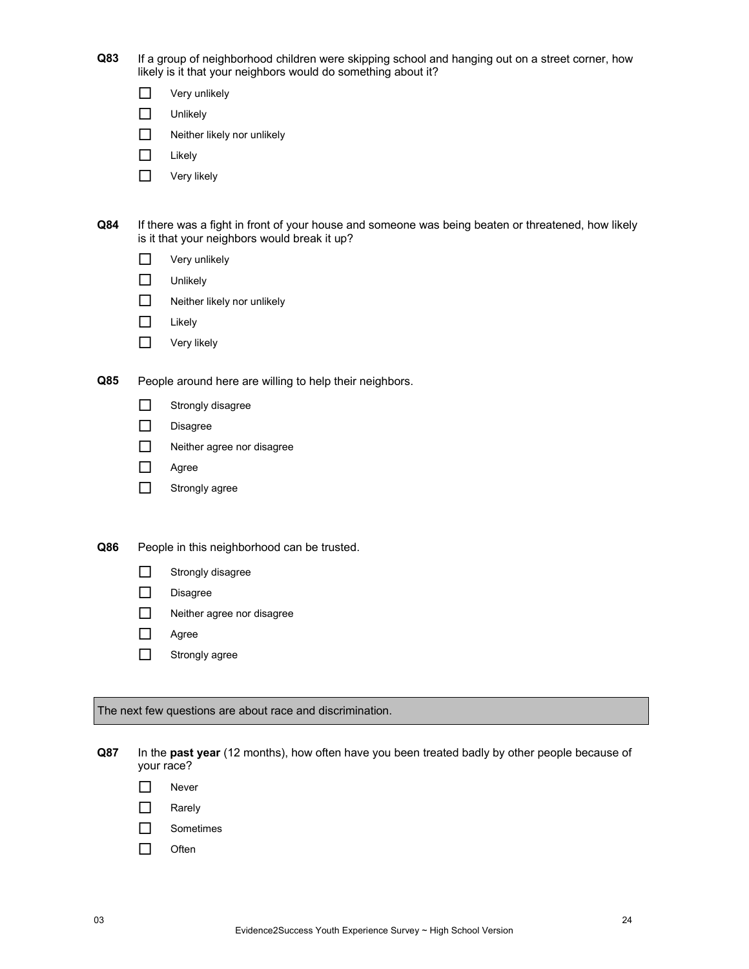| Q83 | If a group of neighborhood children were skipping school and hanging out on a street corner, how |
|-----|--------------------------------------------------------------------------------------------------|
|     | likely is it that your neighbors would do something about it?                                    |

| Very unlikely |
|---------------|
|               |

| Unlikely |
|----------|
|          |

- Neither likely nor unlikely
- $\Box$  Likely
- **D** Very likely

| Q84 |                                              | If there was a fight in front of your house and someone was being beaten or threatened, how likely |
|-----|----------------------------------------------|----------------------------------------------------------------------------------------------------|
|     | is it that your neighbors would break it up? |                                                                                                    |

| Very unlikely |  |
|---------------|--|
|---------------|--|

- □ Unlikely
- $\Box$  Neither likely nor unlikely
- $\Box$  Likely
- **D** Very likely

**Q85** People around here are willing to help their neighbors.

| Strongly disagree |
|-------------------|
|-------------------|

- $\n *Disagree*\n$
- Neither agree nor disagree
- Agree
- **Strongly agree**

**Q86** People in this neighborhood can be trusted.

- Strongly disagree
- Disagree
- Neither agree nor disagree
- Agree
- Strongly agree

The next few questions are about race and discrimination.

**Q87** In the **past year** (12 months), how often have you been treated badly by other people because of your race?

- Never
- **Narely**
- □ Sometimes
- $\Box$  Often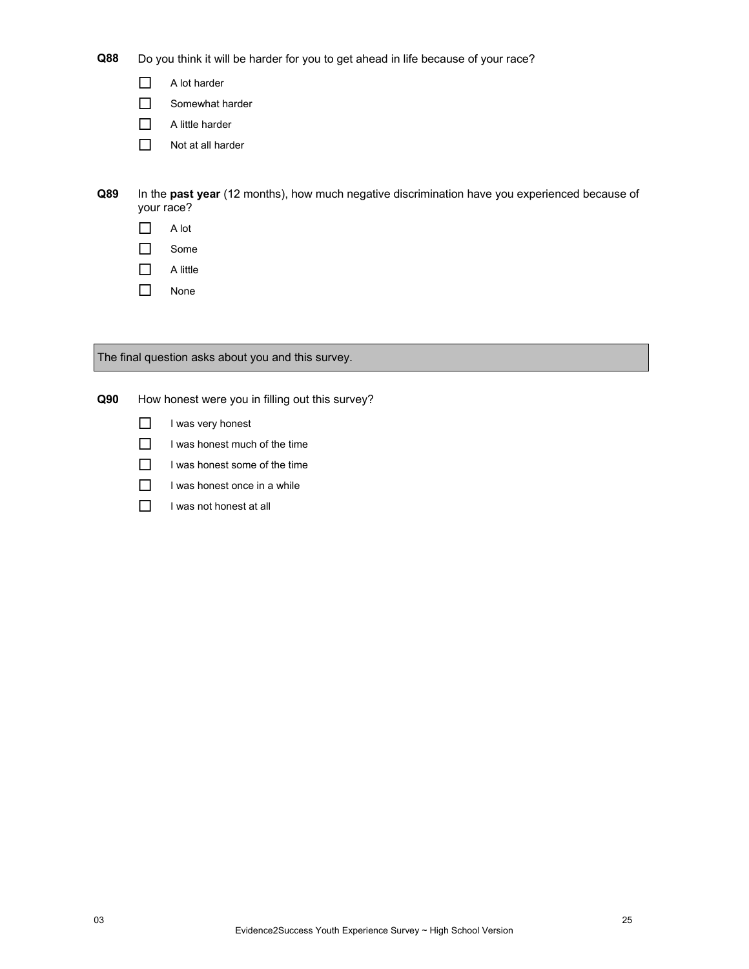**Q88** Do you think it will be harder for you to get ahead in life because of your race?

A lot harder

Somewhat harder

- $\Box$  A little harder
- $\Box$  Not at all harder

**Q89** In the **past year** (12 months), how much negative discrimination have you experienced because of your race?

- $\Box$  A lot
- □ Some
- $\Box$  A little
- □ None

The final question asks about you and this survey.

**Q90** How honest were you in filling out this survey?

- $\Box$  I was very honest
- $\Box$  I was honest much of the time
- $\Box$  I was honest some of the time
- $\Box$  I was honest once in a while
- $\Box$  I was not honest at all